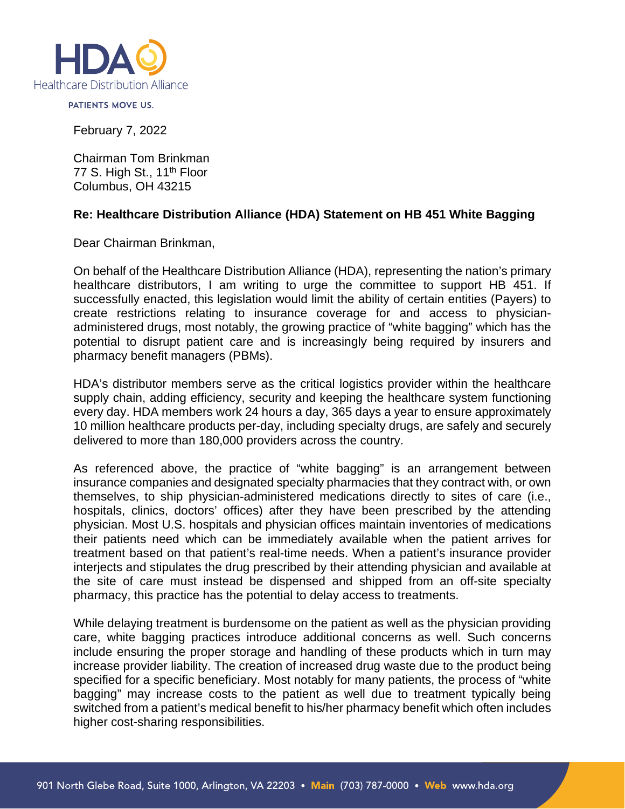

PATIENTS MOVE US.

February 7, 2022

Chairman Tom Brinkman 77 S. High St., 11<sup>th</sup> Floor Columbus, OH 43215

## **Re: Healthcare Distribution Alliance (HDA) Statement on HB 451 White Bagging**

Dear Chairman Brinkman,

On behalf of the Healthcare Distribution Alliance (HDA), representing the nation's primary healthcare distributors, I am writing to urge the committee to support HB 451. If successfully enacted, this legislation would limit the ability of certain entities (Payers) to create restrictions relating to insurance coverage for and access to physicianadministered drugs, most notably, the growing practice of "white bagging" which has the potential to disrupt patient care and is increasingly being required by insurers and pharmacy benefit managers (PBMs).

HDA's distributor members serve as the critical logistics provider within the healthcare supply chain, adding efficiency, security and keeping the healthcare system functioning every day. HDA members work 24 hours a day, 365 days a year to ensure approximately 10 million healthcare products per-day, including specialty drugs, are safely and securely delivered to more than 180,000 providers across the country.

As referenced above, the practice of "white bagging" is an arrangement between insurance companies and designated specialty pharmacies that they contract with, or own themselves, to ship physician-administered medications directly to sites of care (i.e., hospitals, clinics, doctors' offices) after they have been prescribed by the attending physician. Most U.S. hospitals and physician offices maintain inventories of medications their patients need which can be immediately available when the patient arrives for treatment based on that patient's real-time needs. When a patient's insurance provider interjects and stipulates the drug prescribed by their attending physician and available at the site of care must instead be dispensed and shipped from an off-site specialty pharmacy, this practice has the potential to delay access to treatments.

While delaying treatment is burdensome on the patient as well as the physician providing care, white bagging practices introduce additional concerns as well. Such concerns include ensuring the proper storage and handling of these products which in turn may increase provider liability. The creation of increased drug waste due to the product being specified for a specific beneficiary. Most notably for many patients, the process of "white bagging" may increase costs to the patient as well due to treatment typically being switched from a patient's medical benefit to his/her pharmacy benefit which often includes higher cost-sharing responsibilities.